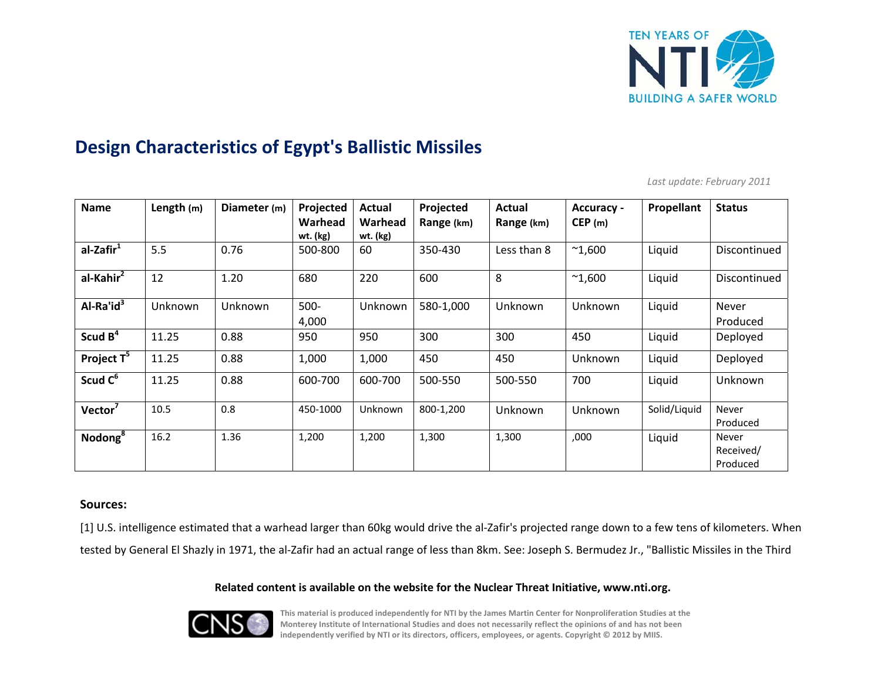

# **Design Characteristics of Egypt's Ballistic Missiles**

*Last update: February 2011*

| <b>Name</b>            | Length $(m)$ | Diameter (m) | Projected           | Actual              | Projected  | Actual         | <b>Accuracy -</b> | Propellant   | <b>Status</b>                  |
|------------------------|--------------|--------------|---------------------|---------------------|------------|----------------|-------------------|--------------|--------------------------------|
|                        |              |              | Warhead<br>wt. (kg) | Warhead<br>wt. (kg) | Range (km) | Range (km)     | CEP(m)            |              |                                |
| al-Zafir <sup>1</sup>  | 5.5          | 0.76         | 500-800             | 60                  | 350-430    | Less than 8    | $^{\sim}1,600$    | Liquid       | Discontinued                   |
| al-Kahir <sup>2</sup>  | 12           | 1.20         | 680                 | 220                 | 600        | 8              | $^{\sim}1,600$    | Liquid       | Discontinued                   |
| $AI-Ra'id3$            | Unknown      | Unknown      | $500 -$<br>4,000    | Unknown             | 580-1,000  | Unknown        | <b>Unknown</b>    | Liquid       | <b>Never</b><br>Produced       |
| Scud $B^4$             | 11.25        | 0.88         | 950                 | 950                 | 300        | 300            | 450               | Liquid       | Deployed                       |
| Project T <sup>5</sup> | 11.25        | 0.88         | 1,000               | 1,000               | 450        | 450            | Unknown           | Liquid       | Deployed                       |
| Scud C <sup>6</sup>    | 11.25        | 0.88         | 600-700             | 600-700             | 500-550    | 500-550        | 700               | Liquid       | Unknown                        |
| Vector <sup>7</sup>    | 10.5         | 0.8          | 450-1000            | Unknown             | 800-1,200  | <b>Unknown</b> | Unknown           | Solid/Liquid | Never<br>Produced              |
| Nodong <sup>8</sup>    | 16.2         | 1.36         | 1,200               | 1,200               | 1,300      | 1,300          | ,000              | Liquid       | Never<br>Received/<br>Produced |

## **Sources:**

[1] U.S. intelligence estimated that a warhead larger than 60kg would drive the al-Zafir's projected range down to a few tens of kilometers. When tested by General El Shazly in 1971, the al‐Zafir had an actual range of less than 8km. See: Joseph S. Bermudez Jr., "Ballistic Missiles in the Third

## **Related content is available on the website for the Nuclear Threat Initiative, www.nti.org.**



This material is produced independently for NTI by the James Martin Center for Nonproliferation Studies at the Monterey Institute of International Studies and does not necessarily reflect the opinions of and has not been **independently verified by NTI or its directors, officers, employees, or agents. Copyright © 2012 by MIIS.**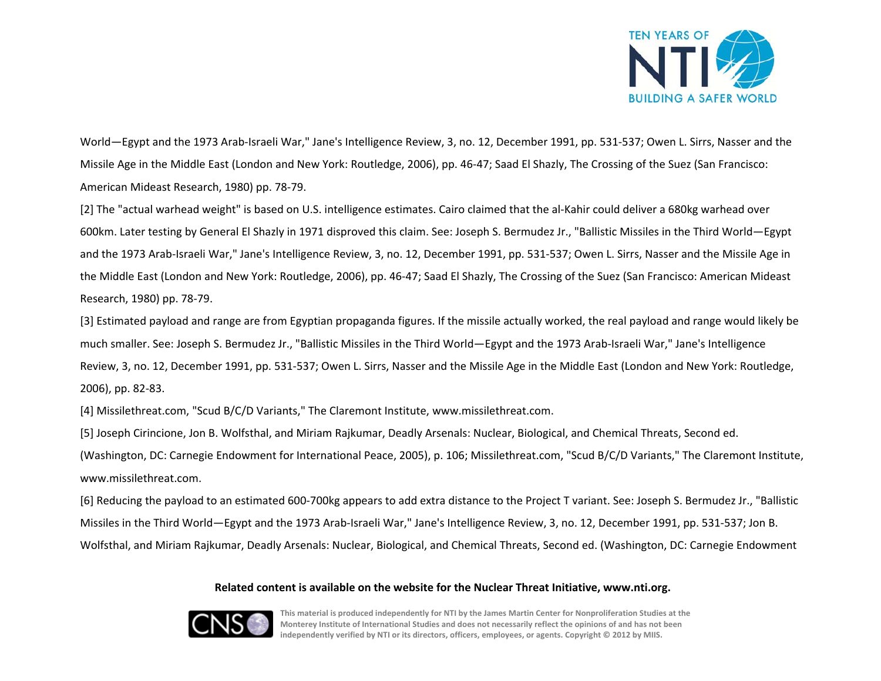

World—Egypt and the 1973 Arab‐Israeli War," Jane's Intelligence Review, 3, no. 12, December 1991, pp. 531‐537; Owen L. Sirrs, Nasser and the Missile Age in the Middle East (London and New York: Routledge, 2006), pp. 46‐47; Saad El Shazly, The Crossing of the Suez (San Francisco: American Mideast Research, 1980) pp. 78‐79.

[2] The "actual warhead weight" is based on U.S. intelligence estimates. Cairo claimed that the al‐Kahir could deliver <sup>a</sup> 680kg warhead over 600km. Later testing by General El Shazly in 1971 disproved this claim. See: Joseph S. Bermudez Jr., "Ballistic Missiles in the Third World—Egypt and the 1973 Arab‐Israeli War," Jane's Intelligence Review, 3, no. 12, December 1991, pp. 531‐537; Owen L. Sirrs, Nasser and the Missile Age in the Middle East (London and New York: Routledge, 2006), pp. 46‐47; Saad El Shazly, The Crossing of the Suez (San Francisco: American Mideast Research, 1980) pp. 78‐79.

[3] Estimated payload and range are from Egyptian propaganda figures. If the missile actually worked, the real payload and range would likely be much smaller. See: Joseph S. Bermudez Jr., "Ballistic Missiles in the Third World—Egypt and the 1973 Arab‐Israeli War," Jane's Intelligence Review, 3, no. 12, December 1991, pp. 531‐537; Owen L. Sirrs, Nasser and the Missile Age in the Middle East (London and New York: Routledge, 2006), pp. 82‐83.

[4] Missilethreat.com, "Scud B/C/D Variants," The Claremont Institute, www.missilethreat.com.

[5] Joseph Cirincione, Jon B. Wolfsthal, and Miriam Rajkumar, Deadly Arsenals: Nuclear, Biological, and Chemical Threats, Second ed.

(Washington, DC: Carnegie Endowment for International Peace, 2005), p. 106; Missilethreat.com, "Scud B/C/D Variants," The Claremont Institute, www.missilethreat.com.

[6] Reducing the payload to an estimated 600‐700kg appears to add extra distance to the Project T variant. See: Joseph S. Bermudez Jr., "Ballistic Missiles in the Third World—Egypt and the 1973 Arab‐Israeli War," Jane's Intelligence Review, 3, no. 12, December 1991, pp. 531‐537; Jon B. Wolfsthal, and Miriam Rajkumar, Deadly Arsenals: Nuclear, Biological, and Chemical Threats, Second ed. (Washington, DC: Carnegie Endowment

## **Related content is available on the website for the Nuclear Threat Initiative, www.nti.org.**



This material is produced independently for NTI by the James Martin Center for Nonproliferation Studies at the Monterey Institute of International Studies and does not necessarily reflect the opinions of and has not been **independently verified by NTI or its directors, officers, employees, or agents. Copyright © 2012 by MIIS.**